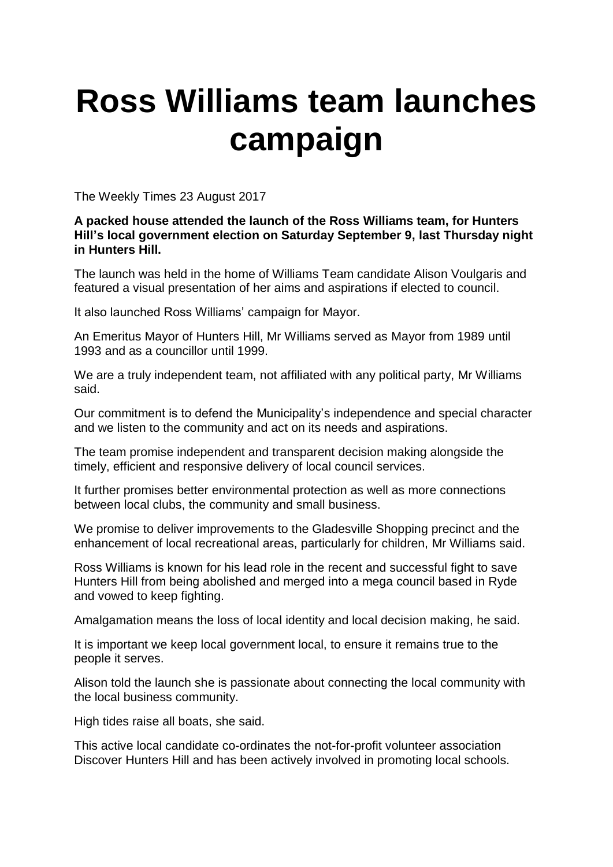## **Ross Williams team launches campaign**

The Weekly Times 23 August 2017

## **A packed house attended the launch of the Ross Williams team, for Hunters Hill's local government election on Saturday September 9, last Thursday night in Hunters Hill.**

The launch was held in the home of Williams Team candidate Alison Voulgaris and featured a visual presentation of her aims and aspirations if elected to council.

It also launched Ross Williams' campaign for Mayor.

An Emeritus Mayor of Hunters Hill, Mr Williams served as Mayor from 1989 until 1993 and as a councillor until 1999.

We are a truly independent team, not affiliated with any political party, Mr Williams said.

Our commitment is to defend the Municipality's independence and special character and we listen to the community and act on its needs and aspirations.

The team promise independent and transparent decision making alongside the timely, efficient and responsive delivery of local council services.

It further promises better environmental protection as well as more connections between local clubs, the community and small business.

We promise to deliver improvements to the Gladesville Shopping precinct and the enhancement of local recreational areas, particularly for children, Mr Williams said.

Ross Williams is known for his lead role in the recent and successful fight to save Hunters Hill from being abolished and merged into a mega council based in Ryde and vowed to keep fighting.

Amalgamation means the loss of local identity and local decision making, he said.

It is important we keep local government local, to ensure it remains true to the people it serves.

Alison told the launch she is passionate about connecting the local community with the local business community.

High tides raise all boats, she said.

This active local candidate co-ordinates the not-for-profit volunteer association Discover Hunters Hill and has been actively involved in promoting local schools.